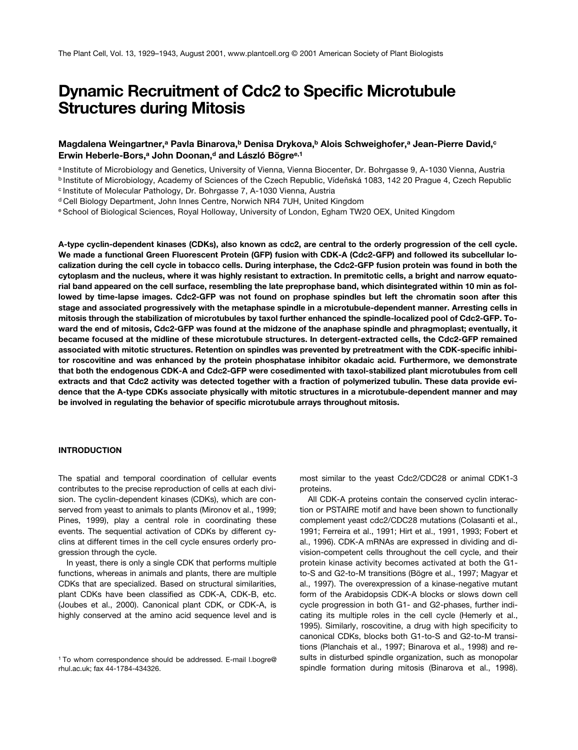# **Dynamic Recruitment of Cdc2 to Specific Microtubule Structures during Mitosis**

## Magdalena Weingartner,<sup>a</sup> Pavla Binarova,<sup>b</sup> Denisa Drykova,<sup>b</sup> Alois Schweighofer,<sup>a</sup> Jean-Pierre David,<sup>c</sup> Erwin Heberle-Bors,<sup>a</sup> John Doonan,<sup>d</sup> and László Bögre<sup>e,1</sup>

a Institute of Microbiology and Genetics, University of Vienna, Vienna Biocenter, Dr. Bohrgasse 9, A-1030 Vienna, Austria

<sup>b</sup> Institute of Microbiology, Academy of Sciences of the Czech Republic, Vídeňská 1083, 142 20 Prague 4, Czech Republic

<sup>c</sup> Institute of Molecular Pathology, Dr. Bohrgasse 7, A-1030 Vienna, Austria

<sup>d</sup> Cell Biology Department, John Innes Centre, Norwich NR4 7UH, United Kingdom

<sup>e</sup> School of Biological Sciences, Royal Holloway, University of London, Egham TW20 OEX, United Kingdom

**A-type cyclin-dependent kinases (CDKs), also known as cdc2, are central to the orderly progression of the cell cycle.** We made a functional Green Fluorescent Protein (GFP) fusion with CDK-A (Cdc2-GFP) and followed its subcellular lo**calization during the cell cycle in tobacco cells. During interphase, the Cdc2-GFP fusion protein was found in both the cytoplasm and the nucleus, where it was highly resistant to extraction. In premitotic cells, a bright and narrow equatorial band appeared on the cell surface, resembling the late preprophase band, which disintegrated within 10 min as followed by time-lapse images. Cdc2-GFP was not found on prophase spindles but left the chromatin soon after this stage and associated progressively with the metaphase spindle in a microtubule-dependent manner. Arresting cells in mitosis through the stabilization of microtubules by taxol further enhanced the spindle-localized pool of Cdc2-GFP. Toward the end of mitosis, Cdc2-GFP was found at the midzone of the anaphase spindle and phragmoplast; eventually, it became focused at the midline of these microtubule structures. In detergent-extracted cells, the Cdc2-GFP remained associated with mitotic structures. Retention on spindles was prevented by pretreatment with the CDK-specific inhibitor roscovitine and was enhanced by the protein phosphatase inhibitor okadaic acid. Furthermore, we demonstrate that both the endogenous CDK-A and Cdc2-GFP were cosedimented with taxol-stabilized plant microtubules from cell extracts and that Cdc2 activity was detected together with a fraction of polymerized tubulin. These data provide evidence that the A-type CDKs associate physically with mitotic structures in a microtubule-dependent manner and may be involved in regulating the behavior of specific microtubule arrays throughout mitosis.**

#### **INTRODUCTION**

The spatial and temporal coordination of cellular events contributes to the precise reproduction of cells at each division. The cyclin-dependent kinases (CDKs), which are conserved from yeast to animals to plants (Mironov et al., 1999; Pines, 1999), play a central role in coordinating these events. The sequential activation of CDKs by different cyclins at different times in the cell cycle ensures orderly progression through the cycle.

In yeast, there is only a single CDK that performs multiple functions, whereas in animals and plants, there are multiple CDKs that are specialized. Based on structural similarities, plant CDKs have been classified as CDK-A, CDK-B, etc. (Joubes et al., 2000). Canonical plant CDK, or CDK-A, is highly conserved at the amino acid sequence level and is most similar to the yeast Cdc2/CDC28 or animal CDK1-3 proteins.

All CDK-A proteins contain the conserved cyclin interaction or PSTAIRE motif and have been shown to functionally complement yeast cdc2/CDC28 mutations (Colasanti et al., 1991; Ferreira et al., 1991; Hirt et al., 1991, 1993; Fobert et al., 1996). CDK-A mRNAs are expressed in dividing and division-competent cells throughout the cell cycle, and their protein kinase activity becomes activated at both the G1 to-S and G2-to-M transitions (Bögre et al., 1997; Magyar et al., 1997). The overexpression of a kinase-negative mutant form of the Arabidopsis CDK-A blocks or slows down cell cycle progression in both G1- and G2-phases, further indicating its multiple roles in the cell cycle (Hemerly et al., 1995). Similarly, roscovitine, a drug with high specificity to canonical CDKs, blocks both G1-to-S and G2-to-M transitions (Planchais et al., 1997; Binarova et al., 1998) and results in disturbed spindle organization, such as monopolar spindle formation during mitosis (Binarova et al., 1998).

<sup>1</sup> To whom correspondence should be addressed. E-mail l.bogre@ rhul.ac.uk; fax 44-1784-434326.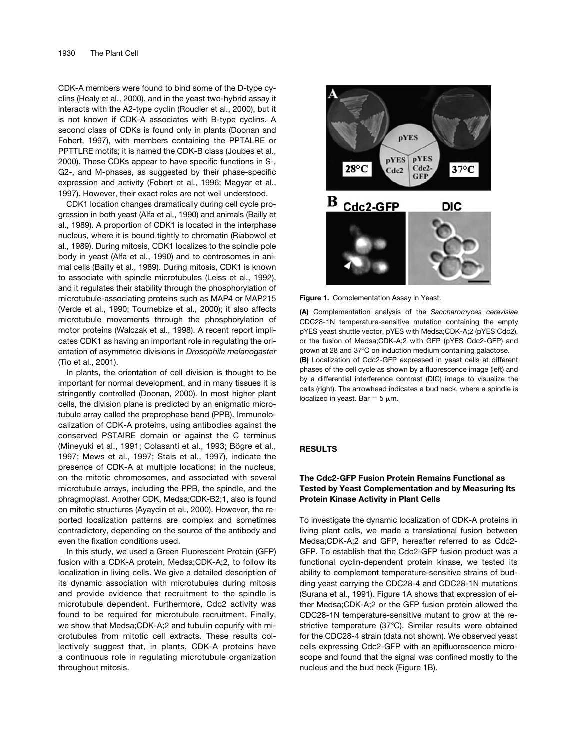CDK-A members were found to bind some of the D-type cyclins (Healy et al., 2000), and in the yeast two-hybrid assay it interacts with the A2-type cyclin (Roudier et al., 2000), but it is not known if CDK-A associates with B-type cyclins. A second class of CDKs is found only in plants (Doonan and Fobert, 1997), with members containing the PPTALRE or PPTTLRE motifs; it is named the CDK-B class (Joubes et al., 2000). These CDKs appear to have specific functions in S-, G2-, and M-phases, as suggested by their phase-specific expression and activity (Fobert et al., 1996; Magyar et al., 1997). However, their exact roles are not well understood.

CDK1 location changes dramatically during cell cycle progression in both yeast (Alfa et al., 1990) and animals (Bailly et al., 1989). A proportion of CDK1 is located in the interphase nucleus, where it is bound tightly to chromatin (Riabowol et al., 1989). During mitosis, CDK1 localizes to the spindle pole body in yeast (Alfa et al., 1990) and to centrosomes in animal cells (Bailly et al., 1989). During mitosis, CDK1 is known to associate with spindle microtubules (Leiss et al., 1992), and it regulates their stability through the phosphorylation of microtubule-associating proteins such as MAP4 or MAP215 (Verde et al., 1990; Tournebize et al., 2000); it also affects microtubule movements through the phosphorylation of motor proteins (Walczak et al., 1998). A recent report implicates CDK1 as having an important role in regulating the orientation of asymmetric divisions in *Drosophila melanogaster* (Tio et al., 2001).

In plants, the orientation of cell division is thought to be important for normal development, and in many tissues it is stringently controlled (Doonan, 2000). In most higher plant cells, the division plane is predicted by an enigmatic microtubule array called the preprophase band (PPB). Immunolocalization of CDK-A proteins, using antibodies against the conserved PSTAIRE domain or against the C terminus (Mineyuki et al., 1991; Colasanti et al., 1993; Bögre et al., 1997; Mews et al., 1997; Stals et al., 1997), indicate the presence of CDK-A at multiple locations: in the nucleus, on the mitotic chromosomes, and associated with several microtubule arrays, including the PPB, the spindle, and the phragmoplast. Another CDK, Medsa;CDK-B2;1, also is found on mitotic structures (Ayaydin et al., 2000). However, the reported localization patterns are complex and sometimes contradictory, depending on the source of the antibody and even the fixation conditions used.

In this study, we used a Green Fluorescent Protein (GFP) fusion with a CDK-A protein, Medsa;CDK-A;2, to follow its localization in living cells. We give a detailed description of its dynamic association with microtubules during mitosis and provide evidence that recruitment to the spindle is microtubule dependent. Furthermore, Cdc2 activity was found to be required for microtubule recruitment. Finally, we show that Medsa;CDK-A;2 and tubulin copurify with microtubules from mitotic cell extracts. These results collectively suggest that, in plants, CDK-A proteins have a continuous role in regulating microtubule organization throughout mitosis.



**Figure 1.** Complementation Assay in Yeast.

**(A)** Complementation analysis of the *Saccharomyces cerevisiae* CDC28-1N temperature-sensitive mutation containing the empty pYES yeast shuttle vector, pYES with Medsa;CDK-A;2 (pYES Cdc2), or the fusion of Medsa;CDK-A;2 with GFP (pYES Cdc2-GFP) and grown at 28 and 37°C on induction medium containing galactose. **(B)** Localization of Cdc2-GFP expressed in yeast cells at different phases of the cell cycle as shown by a fluorescence image (left) and by a differential interference contrast (DIC) image to visualize the cells (right). The arrowhead indicates a bud neck, where a spindle is localized in yeast. Bar =  $5 \mu m$ .

#### **RESULTS**

## **The Cdc2-GFP Fusion Protein Remains Functional as Tested by Yeast Complementation and by Measuring Its Protein Kinase Activity in Plant Cells**

To investigate the dynamic localization of CDK-A proteins in living plant cells, we made a translational fusion between Medsa;CDK-A;2 and GFP, hereafter referred to as Cdc2- GFP. To establish that the Cdc2-GFP fusion product was a functional cyclin-dependent protein kinase, we tested its ability to complement temperature-sensitive strains of budding yeast carrying the CDC28-4 and CDC28-1N mutations (Surana et al., 1991). Figure 1A shows that expression of either Medsa;CDK-A;2 or the GFP fusion protein allowed the CDC28-1N temperature-sensitive mutant to grow at the restrictive temperature (37°C). Similar results were obtained for the CDC28-4 strain (data not shown). We observed yeast cells expressing Cdc2-GFP with an epifluorescence microscope and found that the signal was confined mostly to the nucleus and the bud neck (Figure 1B).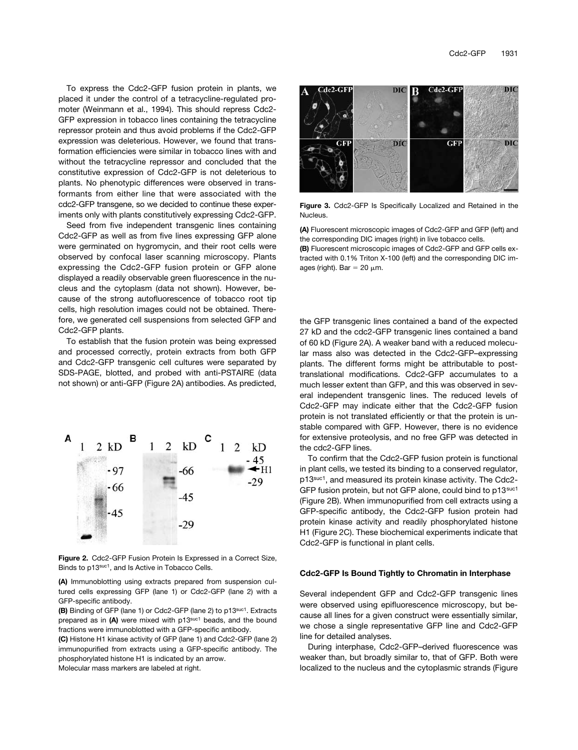To express the Cdc2-GFP fusion protein in plants, we placed it under the control of a tetracycline-regulated promoter (Weinmann et al., 1994). This should repress Cdc2- GFP expression in tobacco lines containing the tetracycline repressor protein and thus avoid problems if the Cdc2-GFP expression was deleterious. However, we found that transformation efficiencies were similar in tobacco lines with and without the tetracycline repressor and concluded that the constitutive expression of Cdc2-GFP is not deleterious to plants. No phenotypic differences were observed in transformants from either line that were associated with the cdc2-GFP transgene, so we decided to continue these experiments only with plants constitutively expressing Cdc2-GFP.

Seed from five independent transgenic lines containing Cdc2-GFP as well as from five lines expressing GFP alone were germinated on hygromycin, and their root cells were observed by confocal laser scanning microscopy. Plants expressing the Cdc2-GFP fusion protein or GFP alone displayed a readily observable green fluorescence in the nucleus and the cytoplasm (data not shown). However, because of the strong autofluorescence of tobacco root tip cells, high resolution images could not be obtained. Therefore, we generated cell suspensions from selected GFP and Cdc2-GFP plants.

To establish that the fusion protein was being expressed and processed correctly, protein extracts from both GFP and Cdc2-GFP transgenic cell cultures were separated by SDS-PAGE, blotted, and probed with anti-PSTAIRE (data not shown) or anti-GFP (Figure 2A) antibodies. As predicted,



**Figure 2.** Cdc2-GFP Fusion Protein Is Expressed in a Correct Size, Binds to p13suc1, and Is Active in Tobacco Cells.

**(A)** Immunoblotting using extracts prepared from suspension cultured cells expressing GFP (lane 1) or Cdc2-GFP (lane 2) with a GFP-specific antibody.

**(B)** Binding of GFP (lane 1) or Cdc2-GFP (lane 2) to p13suc1. Extracts prepared as in (A) were mixed with p13suc1 beads, and the bound fractions were immunoblotted with a GFP-specific antibody.

**(C)** Histone H1 kinase activity of GFP (lane 1) and Cdc2-GFP (lane 2) immunopurified from extracts using a GFP-specific antibody. The phosphorylated histone H1 is indicated by an arrow.

Molecular mass markers are labeled at right.



**Figure 3.** Cdc2-GFP Is Specifically Localized and Retained in the Nucleus.

**(A)** Fluorescent microscopic images of Cdc2-GFP and GFP (left) and the corresponding DIC images (right) in live tobacco cells.

**(B)** Fluorescent microscopic images of Cdc2-GFP and GFP cells extracted with 0.1% Triton X-100 (left) and the corresponding DIC images (right). Bar =  $20 \mu m$ .

the GFP transgenic lines contained a band of the expected 27 kD and the cdc2-GFP transgenic lines contained a band of 60 kD (Figure 2A). A weaker band with a reduced molecular mass also was detected in the Cdc2-GFP–expressing plants. The different forms might be attributable to posttranslational modifications. Cdc2-GFP accumulates to a much lesser extent than GFP, and this was observed in several independent transgenic lines. The reduced levels of Cdc2-GFP may indicate either that the Cdc2-GFP fusion protein is not translated efficiently or that the protein is unstable compared with GFP. However, there is no evidence for extensive proteolysis, and no free GFP was detected in the cdc2-GFP lines.

To confirm that the Cdc2-GFP fusion protein is functional in plant cells, we tested its binding to a conserved regulator, p13suc1, and measured its protein kinase activity. The Cdc2- GFP fusion protein, but not GFP alone, could bind to p13<sup>suc1</sup> (Figure 2B). When immunopurified from cell extracts using a GFP-specific antibody, the Cdc2-GFP fusion protein had protein kinase activity and readily phosphorylated histone H1 (Figure 2C). These biochemical experiments indicate that Cdc2-GFP is functional in plant cells.

## **Cdc2-GFP Is Bound Tightly to Chromatin in Interphase**

Several independent GFP and Cdc2-GFP transgenic lines were observed using epifluorescence microscopy, but because all lines for a given construct were essentially similar, we chose a single representative GFP line and Cdc2-GFP line for detailed analyses.

During interphase, Cdc2-GFP–derived fluorescence was weaker than, but broadly similar to, that of GFP. Both were localized to the nucleus and the cytoplasmic strands (Figure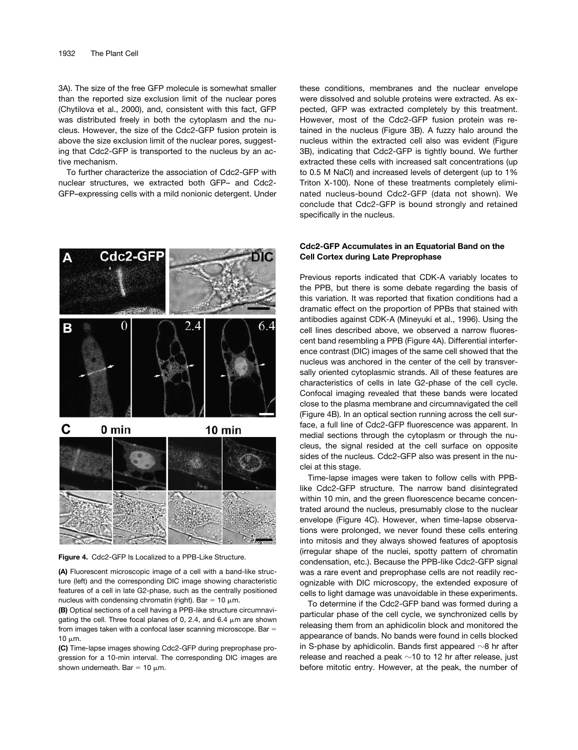3A). The size of the free GFP molecule is somewhat smaller than the reported size exclusion limit of the nuclear pores (Chytilova et al., 2000), and, consistent with this fact, GFP was distributed freely in both the cytoplasm and the nucleus. However, the size of the Cdc2-GFP fusion protein is above the size exclusion limit of the nuclear pores, suggesting that Cdc2-GFP is transported to the nucleus by an active mechanism.

To further characterize the association of Cdc2-GFP with nuclear structures, we extracted both GFP– and Cdc2- GFP–expressing cells with a mild nonionic detergent. Under



**Figure 4.** Cdc2-GFP Is Localized to a PPB-Like Structure.

**(A)** Fluorescent microscopic image of a cell with a band-like structure (left) and the corresponding DIC image showing characteristic features of a cell in late G2-phase, such as the centrally positioned nucleus with condensing chromatin (right). Bar =  $10 \mu m$ .

**(B)** Optical sections of a cell having a PPB-like structure circumnavigating the cell. Three focal planes of 0, 2.4, and 6.4  $\mu$ m are shown from images taken with a confocal laser scanning microscope. Bar 10  $\mu$ m.

**(C)** Time-lapse images showing Cdc2-GFP during preprophase progression for a 10-min interval. The corresponding DIC images are shown underneath. Bar = 10  $\mu$ m.

these conditions, membranes and the nuclear envelope were dissolved and soluble proteins were extracted. As expected, GFP was extracted completely by this treatment. However, most of the Cdc2-GFP fusion protein was retained in the nucleus (Figure 3B). A fuzzy halo around the nucleus within the extracted cell also was evident (Figure 3B), indicating that Cdc2-GFP is tightly bound. We further extracted these cells with increased salt concentrations (up to 0.5 M NaCl) and increased levels of detergent (up to 1% Triton X-100). None of these treatments completely eliminated nucleus-bound Cdc2-GFP (data not shown). We conclude that Cdc2-GFP is bound strongly and retained specifically in the nucleus.

## **Cdc2-GFP Accumulates in an Equatorial Band on the Cell Cortex during Late Preprophase**

Previous reports indicated that CDK-A variably locates to the PPB, but there is some debate regarding the basis of this variation. It was reported that fixation conditions had a dramatic effect on the proportion of PPBs that stained with antibodies against CDK-A (Mineyuki et al., 1996). Using the cell lines described above, we observed a narrow fluorescent band resembling a PPB (Figure 4A). Differential interference contrast (DIC) images of the same cell showed that the nucleus was anchored in the center of the cell by transversally oriented cytoplasmic strands. All of these features are characteristics of cells in late G2-phase of the cell cycle. Confocal imaging revealed that these bands were located close to the plasma membrane and circumnavigated the cell (Figure 4B). In an optical section running across the cell surface, a full line of Cdc2-GFP fluorescence was apparent. In medial sections through the cytoplasm or through the nucleus, the signal resided at the cell surface on opposite sides of the nucleus. Cdc2-GFP also was present in the nuclei at this stage.

Time-lapse images were taken to follow cells with PPBlike Cdc2-GFP structure. The narrow band disintegrated within 10 min, and the green fluorescence became concentrated around the nucleus, presumably close to the nuclear envelope (Figure 4C). However, when time-lapse observations were prolonged, we never found these cells entering into mitosis and they always showed features of apoptosis (irregular shape of the nuclei, spotty pattern of chromatin condensation, etc.). Because the PPB-like Cdc2-GFP signal was a rare event and preprophase cells are not readily recognizable with DIC microscopy, the extended exposure of cells to light damage was unavoidable in these experiments.

To determine if the Cdc2-GFP band was formed during a particular phase of the cell cycle, we synchronized cells by releasing them from an aphidicolin block and monitored the appearance of bands. No bands were found in cells blocked in S-phase by aphidicolin. Bands first appeared  $\sim$ 8 hr after release and reached a peak  $\sim$ 10 to 12 hr after release, just before mitotic entry. However, at the peak, the number of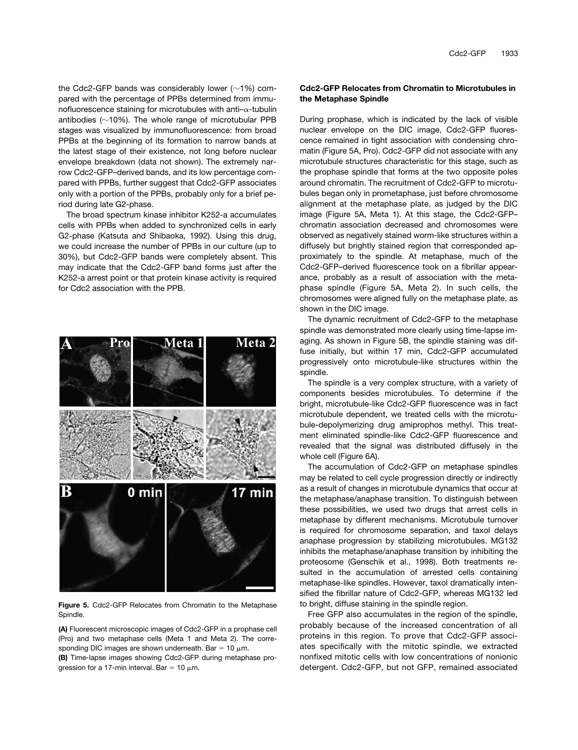the Cdc2-GFP bands was considerably lower ( $\sim$ 1%) compared with the percentage of PPBs determined from immunofluorescence staining for microtubules with anti- $\alpha$ -tubulin antibodies ( $\sim$ 10%). The whole range of microtubular PPB stages was visualized by immunofluorescence: from broad PPBs at the beginning of its formation to narrow bands at the latest stage of their existence, not long before nuclear envelope breakdown (data not shown). The extremely narrow Cdc2-GFP–derived bands, and its low percentage compared with PPBs, further suggest that Cdc2-GFP associates only with a portion of the PPBs, probably only for a brief period during late G2-phase.

The broad spectrum kinase inhibitor K252-a accumulates cells with PPBs when added to synchronized cells in early G2-phase (Katsuta and Shibaoka, 1992). Using this drug, we could increase the number of PPBs in our culture (up to 30%), but Cdc2-GFP bands were completely absent. This may indicate that the Cdc2-GFP band forms just after the K252-a arrest point or that protein kinase activity is required for Cdc2 association with the PPB.



**Figure 5.** Cdc2-GFP Relocates from Chromatin to the Metaphase Spindle.

**(A)** Fluorescent microscopic images of Cdc2-GFP in a prophase cell (Pro) and two metaphase cells (Meta 1 and Meta 2). The corresponding DIC images are shown underneath. Bar =  $10 \mu m$ . **(B)** Time-lapse images showing Cdc2-GFP during metaphase progression for a 17-min interval. Bar = 10  $\mu$ m.

## **Cdc2-GFP Relocates from Chromatin to Microtubules in the Metaphase Spindle**

During prophase, which is indicated by the lack of visible nuclear envelope on the DIC image, Cdc2-GFP fluorescence remained in tight association with condensing chromatin (Figure 5A, Pro). Cdc2-GFP did not associate with any microtubule structures characteristic for this stage, such as the prophase spindle that forms at the two opposite poles around chromatin. The recruitment of Cdc2-GFP to microtubules began only in prometaphase, just before chromosome alignment at the metaphase plate, as judged by the DIC image (Figure 5A, Meta 1). At this stage, the Cdc2-GFP– chromatin association decreased and chromosomes were observed as negatively stained worm-like structures within a diffusely but brightly stained region that corresponded approximately to the spindle. At metaphase, much of the Cdc2-GFP–derived fluorescence took on a fibrillar appearance, probably as a result of association with the metaphase spindle (Figure 5A, Meta 2). In such cells, the chromosomes were aligned fully on the metaphase plate, as shown in the DIC image.

The dynamic recruitment of Cdc2-GFP to the metaphase spindle was demonstrated more clearly using time-lapse imaging. As shown in Figure 5B, the spindle staining was diffuse initially, but within 17 min, Cdc2-GFP accumulated progressively onto microtubule-like structures within the spindle.

The spindle is a very complex structure, with a variety of components besides microtubules. To determine if the bright, microtubule-like Cdc2-GFP fluorescence was in fact microtubule dependent, we treated cells with the microtubule-depolymerizing drug amiprophos methyl. This treatment eliminated spindle-like Cdc2-GFP fluorescence and revealed that the signal was distributed diffusely in the whole cell (Figure 6A).

The accumulation of Cdc2-GFP on metaphase spindles may be related to cell cycle progression directly or indirectly as a result of changes in microtubule dynamics that occur at the metaphase/anaphase transition. To distinguish between these possibilities, we used two drugs that arrest cells in metaphase by different mechanisms. Microtubule turnover is required for chromosome separation, and taxol delays anaphase progression by stabilizing microtubules. MG132 inhibits the metaphase/anaphase transition by inhibiting the proteosome (Genschik et al., 1998). Both treatments resulted in the accumulation of arrested cells containing metaphase-like spindles. However, taxol dramatically intensified the fibrillar nature of Cdc2-GFP, whereas MG132 led to bright, diffuse staining in the spindle region.

Free GFP also accumulates in the region of the spindle, probably because of the increased concentration of all proteins in this region. To prove that Cdc2-GFP associates specifically with the mitotic spindle, we extracted nonfixed mitotic cells with low concentrations of nonionic detergent. Cdc2-GFP, but not GFP, remained associated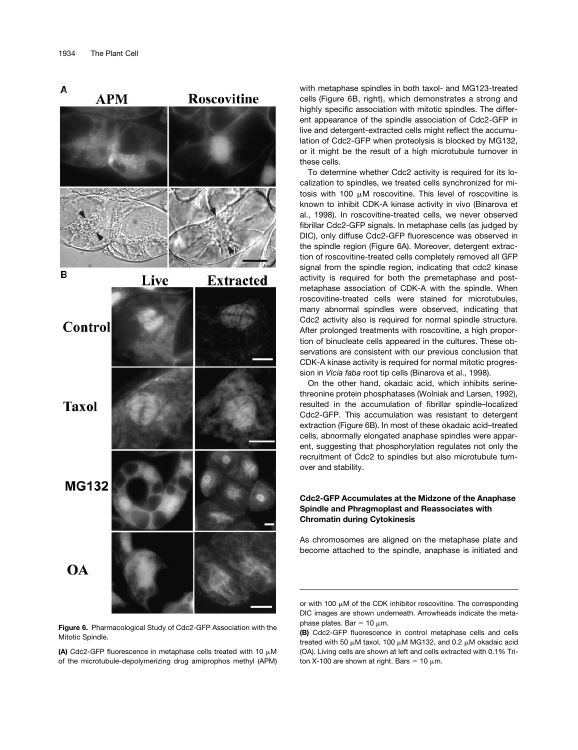

**Figure 6.** Pharmacological Study of Cdc2-GFP Association with the Mitotic Spindle.

**(A)** Cdc2-GFP fluorescence in metaphase cells treated with 10  $\mu$ M of the microtubule-depolymerizing drug amiprophos methyl (APM) with metaphase spindles in both taxol- and MG123-treated cells (Figure 6B, right), which demonstrates a strong and highly specific association with mitotic spindles. The different appearance of the spindle association of Cdc2-GFP in live and detergent-extracted cells might reflect the accumulation of Cdc2-GFP when proteolysis is blocked by MG132, or it might be the result of a high microtubule turnover in these cells.

To determine whether Cdc2 activity is required for its localization to spindles, we treated cells synchronized for mitosis with 100  $\mu$ M roscovitine. This level of roscovitine is known to inhibit CDK-A kinase activity in vivo (Binarova et al., 1998). In roscovitine-treated cells, we never observed fibrillar Cdc2-GFP signals. In metaphase cells (as judged by DIC), only diffuse Cdc2-GFP fluorescence was observed in the spindle region (Figure 6A). Moreover, detergent extraction of roscovitine-treated cells completely removed all GFP signal from the spindle region, indicating that cdc2 kinase activity is required for both the premetaphase and postmetaphase association of CDK-A with the spindle. When roscovitine-treated cells were stained for microtubules, many abnormal spindles were observed, indicating that Cdc2 activity also is required for normal spindle structure. After prolonged treatments with roscovitine, a high proportion of binucleate cells appeared in the cultures. These observations are consistent with our previous conclusion that CDK-A kinase activity is required for normal mitotic progression in *Vicia faba* root tip cells (Binarova et al., 1998).

On the other hand, okadaic acid, which inhibits serinethreonine protein phosphatases (Wolniak and Larsen, 1992), resulted in the accumulation of fibrillar spindle–localized Cdc2-GFP. This accumulation was resistant to detergent extraction (Figure 6B). In most of these okadaic acid–treated cells, abnormally elongated anaphase spindles were apparent, suggesting that phosphorylation regulates not only the recruitment of Cdc2 to spindles but also microtubule turnover and stability.

## **Cdc2-GFP Accumulates at the Midzone of the Anaphase Spindle and Phragmoplast and Reassociates with Chromatin during Cytokinesis**

As chromosomes are aligned on the metaphase plate and become attached to the spindle, anaphase is initiated and

or with 100  $\mu$ M of the CDK inhibitor roscovitine. The corresponding DIC images are shown underneath. Arrowheads indicate the metaphase plates. Bar =  $10 \mu m$ .

**<sup>(</sup>B)** Cdc2-GFP fluorescence in control metaphase cells and cells treated with 50  $\mu$ M taxol, 100  $\mu$ M MG132, and 0.2  $\mu$ M okadaic acid (OA). Living cells are shown at left and cells extracted with 0.1% Triton X-100 are shown at right. Bars = 10  $\mu$ m.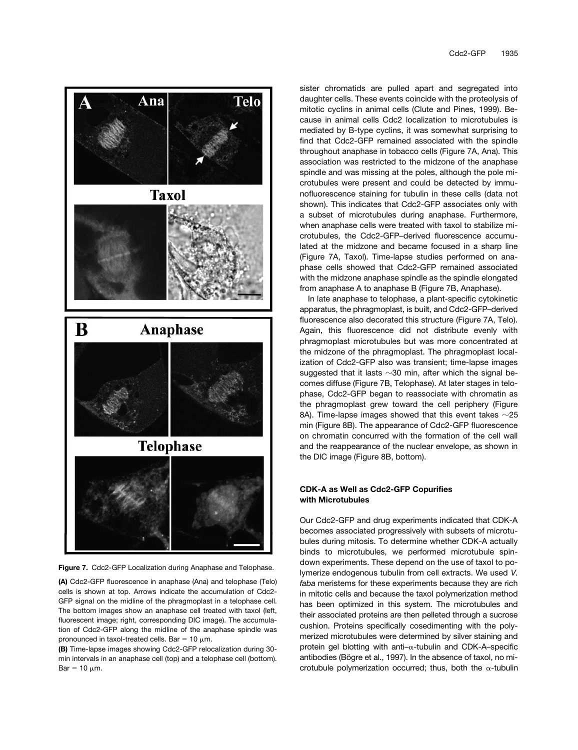

**Figure 7.** Cdc2-GFP Localization during Anaphase and Telophase.

**(A)** Cdc2-GFP fluorescence in anaphase (Ana) and telophase (Telo) cells is shown at top. Arrows indicate the accumulation of Cdc2- GFP signal on the midline of the phragmoplast in a telophase cell. The bottom images show an anaphase cell treated with taxol (left, fluorescent image; right, corresponding DIC image). The accumulation of Cdc2-GFP along the midline of the anaphase spindle was pronounced in taxol-treated cells. Bar = 10  $\mu$ m.

**(B)** Time-lapse images showing Cdc2-GFP relocalization during 30 min intervals in an anaphase cell (top) and a telophase cell (bottom).  $Bar = 10 \mu m$ .

sister chromatids are pulled apart and segregated into daughter cells. These events coincide with the proteolysis of mitotic cyclins in animal cells (Clute and Pines, 1999). Because in animal cells Cdc2 localization to microtubules is mediated by B-type cyclins, it was somewhat surprising to find that Cdc2-GFP remained associated with the spindle throughout anaphase in tobacco cells (Figure 7A, Ana). This association was restricted to the midzone of the anaphase spindle and was missing at the poles, although the pole microtubules were present and could be detected by immunofluorescence staining for tubulin in these cells (data not shown). This indicates that Cdc2-GFP associates only with a subset of microtubules during anaphase. Furthermore, when anaphase cells were treated with taxol to stabilize microtubules, the Cdc2-GFP–derived fluorescence accumulated at the midzone and became focused in a sharp line (Figure 7A, Taxol). Time-lapse studies performed on anaphase cells showed that Cdc2-GFP remained associated with the midzone anaphase spindle as the spindle elongated from anaphase A to anaphase B (Figure 7B, Anaphase).

In late anaphase to telophase, a plant-specific cytokinetic apparatus, the phragmoplast, is built, and Cdc2-GFP–derived fluorescence also decorated this structure (Figure 7A, Telo). Again, this fluorescence did not distribute evenly with phragmoplast microtubules but was more concentrated at the midzone of the phragmoplast. The phragmoplast localization of Cdc2-GFP also was transient; time-lapse images suggested that it lasts  $\sim$ 30 min, after which the signal becomes diffuse (Figure 7B, Telophase). At later stages in telophase, Cdc2-GFP began to reassociate with chromatin as the phragmoplast grew toward the cell periphery (Figure 8A). Time-lapse images showed that this event takes  $\sim$ 25 min (Figure 8B). The appearance of Cdc2-GFP fluorescence on chromatin concurred with the formation of the cell wall and the reappearance of the nuclear envelope, as shown in the DIC image (Figure 8B, bottom).

## **CDK-A as Well as Cdc2-GFP Copurifies with Microtubules**

Our Cdc2-GFP and drug experiments indicated that CDK-A becomes associated progressively with subsets of microtubules during mitosis. To determine whether CDK-A actually binds to microtubules, we performed microtubule spindown experiments. These depend on the use of taxol to polymerize endogenous tubulin from cell extracts. We used *V. faba* meristems for these experiments because they are rich in mitotic cells and because the taxol polymerization method has been optimized in this system. The microtubules and their associated proteins are then pelleted through a sucrose cushion. Proteins specifically cosedimenting with the polymerized microtubules were determined by silver staining and protein gel blotting with anti- $\alpha$ -tubulin and CDK-A-specific antibodies (Bögre et al., 1997). In the absence of taxol, no microtubule polymerization occurred; thus, both the  $\alpha$ -tubulin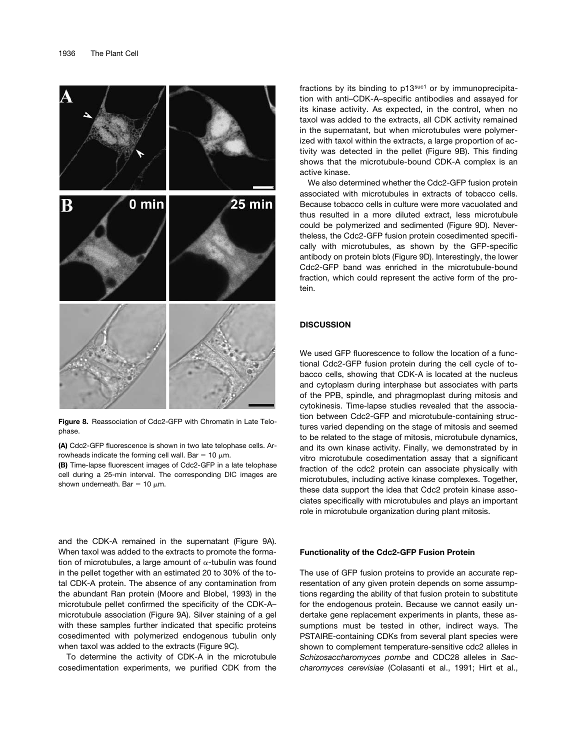

**Figure 8.** Reassociation of Cdc2-GFP with Chromatin in Late Telophase.

**(A)** Cdc2-GFP fluorescence is shown in two late telophase cells. Arrowheads indicate the forming cell wall. Bar = 10  $\mu$ m.

**(B)** Time-lapse fluorescent images of Cdc2-GFP in a late telophase cell during a 25-min interval. The corresponding DIC images are shown underneath. Bar = 10  $\mu$ m.

and the CDK-A remained in the supernatant (Figure 9A). When taxol was added to the extracts to promote the formation of microtubules, a large amount of  $\alpha$ -tubulin was found in the pellet together with an estimated 20 to 30% of the total CDK-A protein. The absence of any contamination from the abundant Ran protein (Moore and Blobel, 1993) in the microtubule pellet confirmed the specificity of the CDK-A– microtubule association (Figure 9A). Silver staining of a gel with these samples further indicated that specific proteins cosedimented with polymerized endogenous tubulin only when taxol was added to the extracts (Figure 9C).

To determine the activity of CDK-A in the microtubule cosedimentation experiments, we purified CDK from the

fractions by its binding to p13suc1 or by immunoprecipitation with anti–CDK-A–specific antibodies and assayed for its kinase activity. As expected, in the control, when no taxol was added to the extracts, all CDK activity remained in the supernatant, but when microtubules were polymerized with taxol within the extracts, a large proportion of activity was detected in the pellet (Figure 9B). This finding shows that the microtubule-bound CDK-A complex is an active kinase.

We also determined whether the Cdc2-GFP fusion protein associated with microtubules in extracts of tobacco cells. Because tobacco cells in culture were more vacuolated and thus resulted in a more diluted extract, less microtubule could be polymerized and sedimented (Figure 9D). Nevertheless, the Cdc2-GFP fusion protein cosedimented specifically with microtubules, as shown by the GFP-specific antibody on protein blots (Figure 9D). Interestingly, the lower Cdc2-GFP band was enriched in the microtubule-bound fraction, which could represent the active form of the protein.

#### **DISCUSSION**

We used GFP fluorescence to follow the location of a functional Cdc2-GFP fusion protein during the cell cycle of tobacco cells, showing that CDK-A is located at the nucleus and cytoplasm during interphase but associates with parts of the PPB, spindle, and phragmoplast during mitosis and cytokinesis. Time-lapse studies revealed that the association between Cdc2-GFP and microtubule-containing structures varied depending on the stage of mitosis and seemed to be related to the stage of mitosis, microtubule dynamics, and its own kinase activity. Finally, we demonstrated by in vitro microtubule cosedimentation assay that a significant fraction of the cdc2 protein can associate physically with microtubules, including active kinase complexes. Together, these data support the idea that Cdc2 protein kinase associates specifically with microtubules and plays an important role in microtubule organization during plant mitosis.

## **Functionality of the Cdc2-GFP Fusion Protein**

The use of GFP fusion proteins to provide an accurate representation of any given protein depends on some assumptions regarding the ability of that fusion protein to substitute for the endogenous protein. Because we cannot easily undertake gene replacement experiments in plants, these assumptions must be tested in other, indirect ways. The PSTAIRE-containing CDKs from several plant species were shown to complement temperature-sensitive cdc2 alleles in *Schizosaccharomyces pombe* and CDC28 alleles in *Saccharomyces cerevisiae* (Colasanti et al., 1991; Hirt et al.,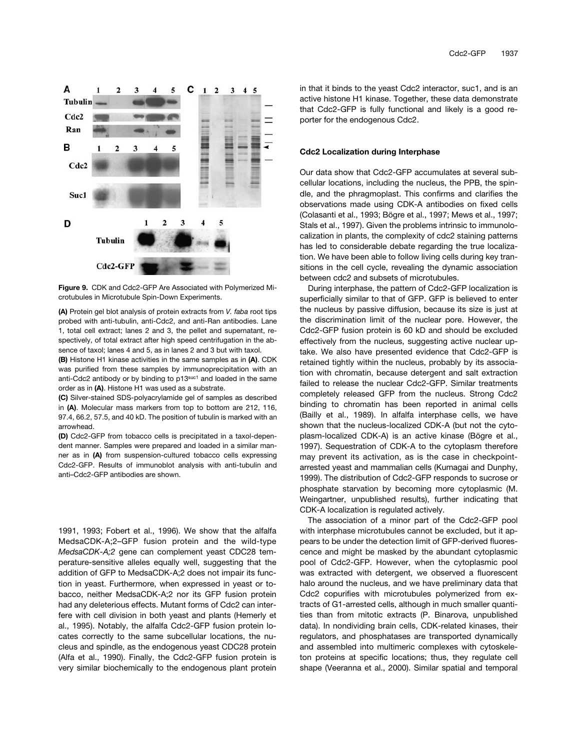

**Figure 9.** CDK and Cdc2-GFP Are Associated with Polymerized Microtubules in Microtubule Spin-Down Experiments.

**(A)** Protein gel blot analysis of protein extracts from *V. faba* root tips probed with anti-tubulin, anti-Cdc2, and anti-Ran antibodies. Lane 1, total cell extract; lanes 2 and 3, the pellet and supernatant, respectively, of total extract after high speed centrifugation in the absence of taxol; lanes 4 and 5, as in lanes 2 and 3 but with taxol.

**(B)** Histone H1 kinase activities in the same samples as in **(A)**. CDK was purified from these samples by immunoprecipitation with an anti-Cdc2 antibody or by binding to p13suc1 and loaded in the same order as in **(A)**. Histone H1 was used as a substrate.

**(C)** Silver-stained SDS-polyacrylamide gel of samples as described in **(A)**. Molecular mass markers from top to bottom are 212, 116, 97.4, 66.2, 57.5, and 40 kD. The position of tubulin is marked with an arrowhead.

**(D)** Cdc2-GFP from tobacco cells is precipitated in a taxol-dependent manner. Samples were prepared and loaded in a similar manner as in **(A)** from suspension-cultured tobacco cells expressing Cdc2-GFP. Results of immunoblot analysis with anti-tubulin and anti–Cdc2-GFP antibodies are shown.

1991, 1993; Fobert et al., 1996). We show that the alfalfa MedsaCDK-A;2–GFP fusion protein and the wild-type *MedsaCDK-A;2* gene can complement yeast CDC28 temperature-sensitive alleles equally well, suggesting that the addition of GFP to MedsaCDK-A;2 does not impair its function in yeast. Furthermore, when expressed in yeast or tobacco, neither MedsaCDK-A;2 nor its GFP fusion protein had any deleterious effects. Mutant forms of Cdc2 can interfere with cell division in both yeast and plants (Hemerly et al., 1995). Notably, the alfalfa Cdc2-GFP fusion protein locates correctly to the same subcellular locations, the nucleus and spindle, as the endogenous yeast CDC28 protein (Alfa et al., 1990). Finally, the Cdc2-GFP fusion protein is very similar biochemically to the endogenous plant protein

in that it binds to the yeast Cdc2 interactor, suc1, and is an active histone H1 kinase. Together, these data demonstrate that Cdc2-GFP is fully functional and likely is a good reporter for the endogenous Cdc2.

#### **Cdc2 Localization during Interphase**

Our data show that Cdc2-GFP accumulates at several subcellular locations, including the nucleus, the PPB, the spindle, and the phragmoplast. This confirms and clarifies the observations made using CDK-A antibodies on fixed cells (Colasanti et al., 1993; Bögre et al., 1997; Mews et al., 1997; Stals et al., 1997). Given the problems intrinsic to immunolocalization in plants, the complexity of cdc2 staining patterns has led to considerable debate regarding the true localization. We have been able to follow living cells during key transitions in the cell cycle, revealing the dynamic association between cdc2 and subsets of microtubules.

During interphase, the pattern of Cdc2-GFP localization is superficially similar to that of GFP. GFP is believed to enter the nucleus by passive diffusion, because its size is just at the discrimination limit of the nuclear pore. However, the Cdc2-GFP fusion protein is 60 kD and should be excluded effectively from the nucleus, suggesting active nuclear uptake. We also have presented evidence that Cdc2-GFP is retained tightly within the nucleus, probably by its association with chromatin, because detergent and salt extraction failed to release the nuclear Cdc2-GFP. Similar treatments completely released GFP from the nucleus. Strong Cdc2 binding to chromatin has been reported in animal cells (Bailly et al., 1989). In alfalfa interphase cells, we have shown that the nucleus-localized CDK-A (but not the cytoplasm-localized CDK-A) is an active kinase (Bögre et al., 1997). Sequestration of CDK-A to the cytoplasm therefore may prevent its activation, as is the case in checkpointarrested yeast and mammalian cells (Kumagai and Dunphy, 1999). The distribution of Cdc2-GFP responds to sucrose or phosphate starvation by becoming more cytoplasmic (M. Weingartner, unpublished results), further indicating that CDK-A localization is regulated actively.

The association of a minor part of the Cdc2-GFP pool with interphase microtubules cannot be excluded, but it appears to be under the detection limit of GFP-derived fluorescence and might be masked by the abundant cytoplasmic pool of Cdc2-GFP. However, when the cytoplasmic pool was extracted with detergent, we observed a fluorescent halo around the nucleus, and we have preliminary data that Cdc2 copurifies with microtubules polymerized from extracts of G1-arrested cells, although in much smaller quantities than from mitotic extracts (P. Binarova, unpublished data). In nondividing brain cells, CDK-related kinases, their regulators, and phosphatases are transported dynamically and assembled into multimeric complexes with cytoskeleton proteins at specific locations; thus, they regulate cell shape (Veeranna et al., 2000). Similar spatial and temporal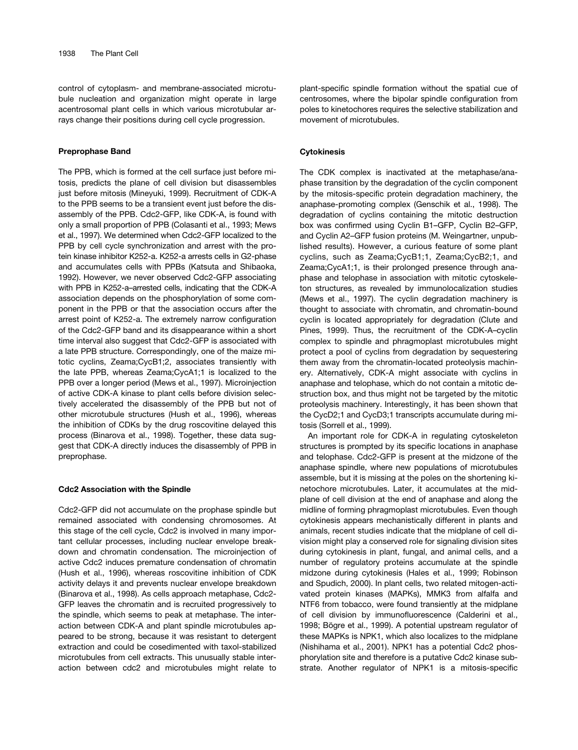control of cytoplasm- and membrane-associated microtubule nucleation and organization might operate in large acentrosomal plant cells in which various microtubular arrays change their positions during cell cycle progression.

#### **Preprophase Band**

The PPB, which is formed at the cell surface just before mitosis, predicts the plane of cell division but disassembles just before mitosis (Mineyuki, 1999). Recruitment of CDK-A to the PPB seems to be a transient event just before the disassembly of the PPB. Cdc2-GFP, like CDK-A, is found with only a small proportion of PPB (Colasanti et al., 1993; Mews et al., 1997). We determined when Cdc2-GFP localized to the PPB by cell cycle synchronization and arrest with the protein kinase inhibitor K252-a. K252-a arrests cells in G2-phase and accumulates cells with PPBs (Katsuta and Shibaoka, 1992). However, we never observed Cdc2-GFP associating with PPB in K252-a–arrested cells, indicating that the CDK-A association depends on the phosphorylation of some component in the PPB or that the association occurs after the arrest point of K252-a. The extremely narrow configuration of the Cdc2-GFP band and its disappearance within a short time interval also suggest that Cdc2-GFP is associated with a late PPB structure. Correspondingly, one of the maize mitotic cyclins, Zeama;CycB1;2, associates transiently with the late PPB, whereas Zeama;CycA1;1 is localized to the PPB over a longer period (Mews et al., 1997). Microinjection of active CDK-A kinase to plant cells before division selectively accelerated the disassembly of the PPB but not of other microtubule structures (Hush et al., 1996), whereas the inhibition of CDKs by the drug roscovitine delayed this process (Binarova et al., 1998). Together, these data suggest that CDK-A directly induces the disassembly of PPB in preprophase.

#### **Cdc2 Association with the Spindle**

Cdc2-GFP did not accumulate on the prophase spindle but remained associated with condensing chromosomes. At this stage of the cell cycle, Cdc2 is involved in many important cellular processes, including nuclear envelope breakdown and chromatin condensation. The microinjection of active Cdc2 induces premature condensation of chromatin (Hush et al., 1996), whereas roscovitine inhibition of CDK activity delays it and prevents nuclear envelope breakdown (Binarova et al., 1998). As cells approach metaphase, Cdc2- GFP leaves the chromatin and is recruited progressively to the spindle, which seems to peak at metaphase. The interaction between CDK-A and plant spindle microtubules appeared to be strong, because it was resistant to detergent extraction and could be cosedimented with taxol-stabilized microtubules from cell extracts. This unusually stable interaction between cdc2 and microtubules might relate to

plant-specific spindle formation without the spatial cue of centrosomes, where the bipolar spindle configuration from poles to kinetochores requires the selective stabilization and movement of microtubules.

#### **Cytokinesis**

The CDK complex is inactivated at the metaphase/anaphase transition by the degradation of the cyclin component by the mitosis-specific protein degradation machinery, the anaphase-promoting complex (Genschik et al., 1998). The degradation of cyclins containing the mitotic destruction box was confirmed using Cyclin B1–GFP, Cyclin B2–GFP, and Cyclin A2–GFP fusion proteins (M. Weingartner, unpublished results). However, a curious feature of some plant cyclins, such as Zeama;CycB1;1, Zeama;CycB2;1, and Zeama;CycA1;1, is their prolonged presence through anaphase and telophase in association with mitotic cytoskeleton structures, as revealed by immunolocalization studies (Mews et al., 1997). The cyclin degradation machinery is thought to associate with chromatin, and chromatin-bound cyclin is located appropriately for degradation (Clute and Pines, 1999). Thus, the recruitment of the CDK-A–cyclin complex to spindle and phragmoplast microtubules might protect a pool of cyclins from degradation by sequestering them away from the chromatin-located proteolysis machinery. Alternatively, CDK-A might associate with cyclins in anaphase and telophase, which do not contain a mitotic destruction box, and thus might not be targeted by the mitotic proteolysis machinery. Interestingly, it has been shown that the CycD2;1 and CycD3;1 transcripts accumulate during mitosis (Sorrell et al., 1999).

An important role for CDK-A in regulating cytoskeleton structures is prompted by its specific locations in anaphase and telophase. Cdc2-GFP is present at the midzone of the anaphase spindle, where new populations of microtubules assemble, but it is missing at the poles on the shortening kinetochore microtubules. Later, it accumulates at the midplane of cell division at the end of anaphase and along the midline of forming phragmoplast microtubules. Even though cytokinesis appears mechanistically different in plants and animals, recent studies indicate that the midplane of cell division might play a conserved role for signaling division sites during cytokinesis in plant, fungal, and animal cells, and a number of regulatory proteins accumulate at the spindle midzone during cytokinesis (Hales et al., 1999; Robinson and Spudich, 2000). In plant cells, two related mitogen-activated protein kinases (MAPKs), MMK3 from alfalfa and NTF6 from tobacco, were found transiently at the midplane of cell division by immunofluorescence (Calderini et al., 1998; Bögre et al., 1999). A potential upstream regulator of these MAPKs is NPK1, which also localizes to the midplane (Nishihama et al., 2001). NPK1 has a potential Cdc2 phosphorylation site and therefore is a putative Cdc2 kinase substrate. Another regulator of NPK1 is a mitosis-specific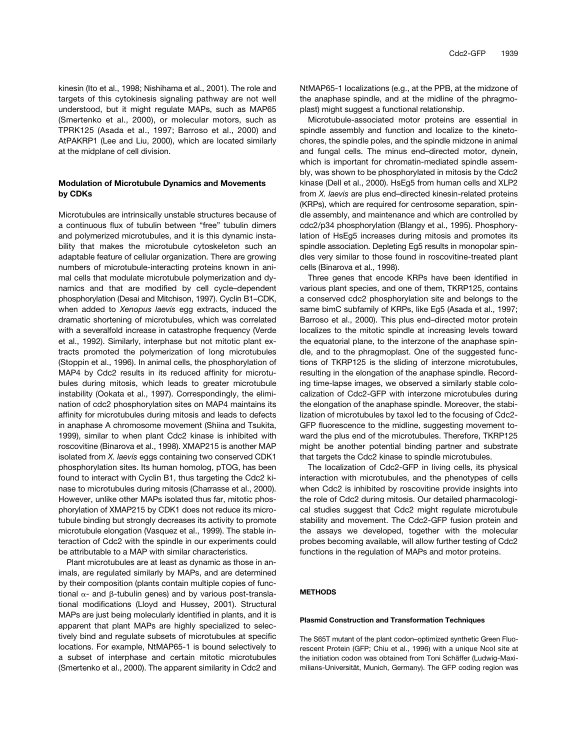kinesin (Ito et al., 1998; Nishihama et al., 2001). The role and targets of this cytokinesis signaling pathway are not well understood, but it might regulate MAPs, such as MAP65 (Smertenko et al., 2000), or molecular motors, such as TPRK125 (Asada et al., 1997; Barroso et al., 2000) and AtPAKRP1 (Lee and Liu, 2000), which are located similarly at the midplane of cell division.

## **Modulation of Microtubule Dynamics and Movements by CDKs**

Microtubules are intrinsically unstable structures because of a continuous flux of tubulin between "free" tubulin dimers and polymerized microtubules, and it is this dynamic instability that makes the microtubule cytoskeleton such an adaptable feature of cellular organization. There are growing numbers of microtubule-interacting proteins known in animal cells that modulate microtubule polymerization and dynamics and that are modified by cell cycle–dependent phosphorylation (Desai and Mitchison, 1997). Cyclin B1–CDK, when added to *Xenopus laevis* egg extracts, induced the dramatic shortening of microtubules, which was correlated with a severalfold increase in catastrophe frequency (Verde et al., 1992). Similarly, interphase but not mitotic plant extracts promoted the polymerization of long microtubules (Stoppin et al., 1996). In animal cells, the phosphorylation of MAP4 by Cdc2 results in its reduced affinity for microtubules during mitosis, which leads to greater microtubule instability (Ookata et al., 1997). Correspondingly, the elimination of cdc2 phosphorylation sites on MAP4 maintains its affinity for microtubules during mitosis and leads to defects in anaphase A chromosome movement (Shiina and Tsukita, 1999), similar to when plant Cdc2 kinase is inhibited with roscovitine (Binarova et al., 1998). XMAP215 is another MAP isolated from *X. laevis* eggs containing two conserved CDK1 phosphorylation sites. Its human homolog, pTOG, has been found to interact with Cyclin B1, thus targeting the Cdc2 kinase to microtubules during mitosis (Charrasse et al., 2000). However, unlike other MAPs isolated thus far, mitotic phosphorylation of XMAP215 by CDK1 does not reduce its microtubule binding but strongly decreases its activity to promote microtubule elongation (Vasquez et al., 1999). The stable interaction of Cdc2 with the spindle in our experiments could be attributable to a MAP with similar characteristics.

Plant microtubules are at least as dynamic as those in animals, are regulated similarly by MAPs, and are determined by their composition (plants contain multiple copies of functional  $\alpha$ - and  $\beta$ -tubulin genes) and by various post-translational modifications (Lloyd and Hussey, 2001). Structural MAPs are just being molecularly identified in plants, and it is apparent that plant MAPs are highly specialized to selectively bind and regulate subsets of microtubules at specific locations. For example, NtMAP65-1 is bound selectively to a subset of interphase and certain mitotic microtubules (Smertenko et al., 2000). The apparent similarity in Cdc2 and

NtMAP65-1 localizations (e.g., at the PPB, at the midzone of the anaphase spindle, and at the midline of the phragmoplast) might suggest a functional relationship.

Microtubule-associated motor proteins are essential in spindle assembly and function and localize to the kinetochores, the spindle poles, and the spindle midzone in animal and fungal cells. The minus end–directed motor, dynein, which is important for chromatin-mediated spindle assembly, was shown to be phosphorylated in mitosis by the Cdc2 kinase (Dell et al., 2000). HsEg5 from human cells and XLP2 from *X. laevis* are plus end–directed kinesin-related proteins (KRPs), which are required for centrosome separation, spindle assembly, and maintenance and which are controlled by cdc2/p34 phosphorylation (Blangy et al., 1995). Phosphorylation of HsEg5 increases during mitosis and promotes its spindle association. Depleting Eg5 results in monopolar spindles very similar to those found in roscovitine-treated plant cells (Binarova et al., 1998).

Three genes that encode KRPs have been identified in various plant species, and one of them, TKRP125, contains a conserved cdc2 phosphorylation site and belongs to the same bimC subfamily of KRPs, like Eg5 (Asada et al., 1997; Barroso et al., 2000). This plus end–directed motor protein localizes to the mitotic spindle at increasing levels toward the equatorial plane, to the interzone of the anaphase spindle, and to the phragmoplast. One of the suggested functions of TKRP125 is the sliding of interzone microtubules, resulting in the elongation of the anaphase spindle. Recording time-lapse images, we observed a similarly stable colocalization of Cdc2-GFP with interzone microtubules during the elongation of the anaphase spindle. Moreover, the stabilization of microtubules by taxol led to the focusing of Cdc2- GFP fluorescence to the midline, suggesting movement toward the plus end of the microtubules. Therefore, TKRP125 might be another potential binding partner and substrate that targets the Cdc2 kinase to spindle microtubules.

The localization of Cdc2-GFP in living cells, its physical interaction with microtubules, and the phenotypes of cells when Cdc2 is inhibited by roscovitine provide insights into the role of Cdc2 during mitosis. Our detailed pharmacological studies suggest that Cdc2 might regulate microtubule stability and movement. The Cdc2-GFP fusion protein and the assays we developed, together with the molecular probes becoming available, will allow further testing of Cdc2 functions in the regulation of MAPs and motor proteins.

### **METHODS**

#### **Plasmid Construction and Transformation Techniques**

The S65T mutant of the plant codon–optimized synthetic Green Fluorescent Protein (GFP; Chiu et al., 1996) with a unique NcoI site at the initiation codon was obtained from Toni Schäffer (Ludwig-Maximilians-Universität, Munich, Germany). The GFP coding region was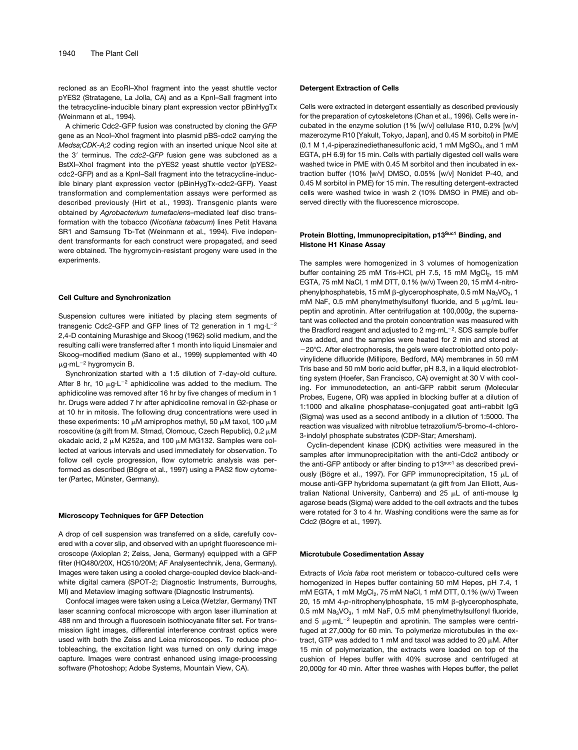recloned as an EcoRI–XhoI fragment into the yeast shuttle vector pYES2 (Stratagene, La Jolla, CA) and as a KpnI–SalI fragment into the tetracycline-inducible binary plant expression vector pBinHygTx (Weinmann et al., 1994).

A chimeric Cdc2-GFP fusion was constructed by cloning the *GFP* gene as an NcoI–XhoI fragment into plasmid pBS-cdc2 carrying the *Medsa;CDK-A;2* coding region with an inserted unique Ncol site at the 3' terminus. The *cdc2-GFP* fusion gene was subcloned as a BstXI–XhoI fragment into the pYES2 yeast shuttle vector (pYES2 cdc2-GFP) and as a KpnI–SalI fragment into the tetracycline-inducible binary plant expression vector (pBinHygTx-cdc2-GFP). Yeast transformation and complementation assays were performed as described previously (Hirt et al., 1993). Transgenic plants were obtained by *Agrobacterium tumefaciens*–mediated leaf disc transformation with the tobacco (*Nicotiana tabacum*) lines Petit Havana SR1 and Samsung Tb-Tet (Weinmann et al., 1994). Five independent transformants for each construct were propagated, and seed were obtained. The hygromycin-resistant progeny were used in the experiments.

#### **Cell Culture and Synchronization**

Suspension cultures were initiated by placing stem segments of transgenic Cdc2-GFP and GFP lines of T2 generation in 1 mg·L<sup>-2</sup> 2,4-D containing Murashige and Skoog (1962) solid medium, and the resulting calli were transferred after 1 month into liquid Linsmaier and Skoog–modified medium (Sano et al., 1999) supplemented with 40  $\mu$ g·mL<sup>-2</sup> hygromycin B.

Synchronization started with a 1:5 dilution of 7-day-old culture. After 8 hr, 10  $\mu$ g·L<sup>-2</sup> aphidicoline was added to the medium. The aphidicoline was removed after 16 hr by five changes of medium in 1 hr. Drugs were added 7 hr after aphidicoline removal in G2-phase or at 10 hr in mitosis. The following drug concentrations were used in these experiments: 10  $\mu$ M amiprophos methyl, 50  $\mu$ M taxol, 100  $\mu$ M roscovitine (a gift from M. Strnad, Olomouc, Czech Republic),  $0.2 \mu M$ okadaic acid, 2  $\mu$ M K252a, and 100  $\mu$ M MG132. Samples were collected at various intervals and used immediately for observation. To follow cell cycle progression, flow cytometric analysis was performed as described (Bögre et al., 1997) using a PAS2 flow cytometer (Partec, Münster, Germany).

#### **Microscopy Techniques for GFP Detection**

A drop of cell suspension was transferred on a slide, carefully covered with a cover slip, and observed with an upright fluorescence microscope (Axioplan 2; Zeiss, Jena, Germany) equipped with a GFP filter (HQ480/20X, HQ510/20M; AF Analysentechnik, Jena, Germany). Images were taken using a cooled charge-coupled device black-andwhite digital camera (SPOT-2; Diagnostic Instruments, Burroughs, MI) and Metaview imaging software (Diagnostic Instruments).

Confocal images were taken using a Leica (Wetzlar, Germany) TNT laser scanning confocal microscope with argon laser illumination at 488 nm and through a fluorescein isothiocyanate filter set. For transmission light images, differential interference contrast optics were used with both the Zeiss and Leica microscopes. To reduce photobleaching, the excitation light was turned on only during image capture. Images were contrast enhanced using image-processing software (Photoshop; Adobe Systems, Mountain View, CA).

#### **Detergent Extraction of Cells**

Cells were extracted in detergent essentially as described previously for the preparation of cytoskeletons (Chan et al., 1996). Cells were incubated in the enzyme solution (1% [w/v] cellulase R10, 0.2% [w/v] mazerozyme R10 [Yakult, Tokyo, Japan], and 0.45 M sorbitol) in PME (0.1 M 1,4-piperazinediethanesulfonic acid, 1 mM  $MgSO<sub>4</sub>$ , and 1 mM EGTA, pH 6.9) for 15 min. Cells with partially digested cell walls were washed twice in PME with 0.45 M sorbitol and then incubated in extraction buffer (10% [w/v] DMSO, 0.05% [w/v] Nonidet P-40, and 0.45 M sorbitol in PME) for 15 min. The resulting detergent-extracted cells were washed twice in wash 2 (10% DMSO in PME) and observed directly with the fluorescence microscope.

#### Protein Blotting, Immunoprecipitation, p13Suc1 Binding, and **Histone H1 Kinase Assay**

The samples were homogenized in 3 volumes of homogenization buffer containing 25 mM Tris-HCl, pH 7.5, 15 mM MgCl<sub>2</sub>, 15 mM EGTA, 75 mM NaCl, 1 mM DTT, 0.1% (w/v) Tween 20, 15 mM 4-nitrophenylphosphatebis, 15 mM  $\beta$ -glycerophosphate, 0.5 mM Na<sub>3</sub>VO<sub>3</sub>, 1 mM NaF, 0.5 mM phenylmethylsulfonyl fluoride, and 5  $\mu$ g/mL leupeptin and aprotinin. After centrifugation at 100,000*g*, the supernatant was collected and the protein concentration was measured with the Bradford reagent and adjusted to 2 mg $\cdot$ mL $^{-2}$ . SDS sample buffer was added, and the samples were heated for 2 min and stored at  $-20^{\circ}$ C. After electrophoresis, the gels were electroblotted onto polyvinylidene difluoride (Millipore, Bedford, MA) membranes in 50 mM Tris base and 50 mM boric acid buffer, pH 8.3, in a liquid electroblotting system (Hoefer, San Francisco, CA) overnight at 30 V with cooling. For immunodetection, an anti-GFP rabbit serum (Molecular Probes, Eugene, OR) was applied in blocking buffer at a dilution of 1:1000 and alkaline phosphatase–conjugated goat anti–rabbit IgG (Sigma) was used as a second antibody in a dilution of 1:5000. The reaction was visualized with nitroblue tetrazolium/5-bromo-4-chloro-3-indolyl phosphate substrates (CDP-Star; Amersham).

Cyclin-dependent kinase (CDK) activities were measured in the samples after immunoprecipitation with the anti-Cdc2 antibody or the anti-GFP antibody or after binding to p13suc1 as described previously (Bögre et al., 1997). For GFP immunoprecipitation, 15  $\mu$ L of mouse anti-GFP hybridoma supernatant (a gift from Jan Elliott, Australian National University, Canberra) and 25  $\mu$ L of anti-mouse Ig agarose beads (Sigma) were added to the cell extracts and the tubes were rotated for 3 to 4 hr. Washing conditions were the same as for Cdc2 (Bögre et al., 1997).

#### **Microtubule Cosedimentation Assay**

Extracts of *Vicia faba* root meristem or tobacco-cultured cells were homogenized in Hepes buffer containing 50 mM Hepes, pH 7.4, 1 mM EGTA, 1 mM MgCl<sub>2</sub>, 75 mM NaCl, 1 mM DTT, 0.1% (w/v) Tween 20, 15 mM 4-p-nitrophenylphosphate, 15 mM β-glycerophosphate, 0.5 mM  $Na<sub>3</sub>VO<sub>3</sub>$ , 1 mM NaF, 0.5 mM phenylmethylsulfonyl fluoride, and 5  $\mu$ g·mL<sup>-2</sup> leupeptin and aprotinin. The samples were centrifuged at 27,000*g* for 60 min. To polymerize microtubules in the extract, GTP was added to 1 mM and taxol was added to 20  $\mu$ M. After 15 min of polymerization, the extracts were loaded on top of the cushion of Hepes buffer with 40% sucrose and centrifuged at 20,000*g* for 40 min. After three washes with Hepes buffer, the pellet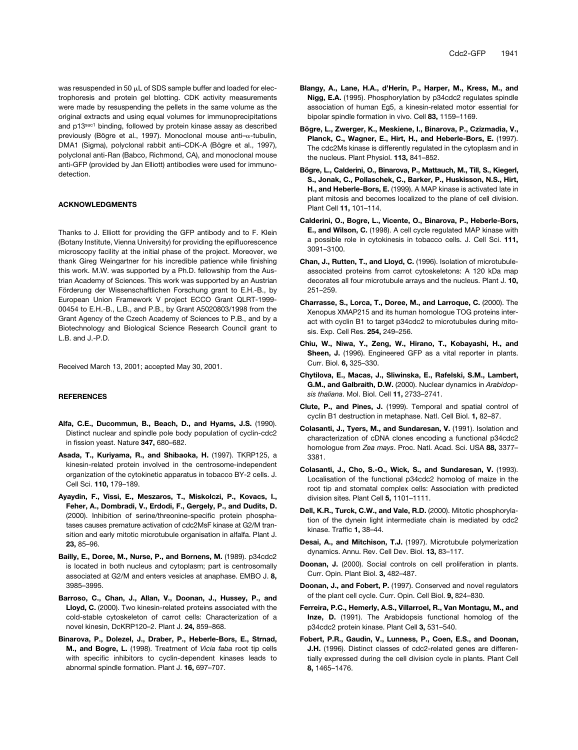was resuspended in 50  $\mu$ L of SDS sample buffer and loaded for electrophoresis and protein gel blotting. CDK activity measurements were made by resuspending the pellets in the same volume as the original extracts and using equal volumes for immunoprecipitations and p13suc1 binding, followed by protein kinase assay as described previously (Bögre et al., 1997). Monoclonal mouse anti- $\alpha$ -tubulin, DMA1 (Sigma), polyclonal rabbit anti–CDK-A (Bögre et al., 1997), polyclonal anti-Ran (Babco, Richmond, CA), and monoclonal mouse anti-GFP (provided by Jan Elliott) antibodies were used for immunodetection.

#### **ACKNOWLEDGMENTS**

Thanks to J. Elliott for providing the GFP antibody and to F. Klein (Botany Institute, Vienna University) for providing the epifluorescence microscopy facility at the initial phase of the project. Moreover, we thank Gireg Weingartner for his incredible patience while finishing this work. M.W. was supported by a Ph.D. fellowship from the Austrian Academy of Sciences. This work was supported by an Austrian Förderung der Wissenschaftlichen Forschung grant to E.H.-B., by European Union Framework V project ECCO Grant QLRT-1999- 00454 to E.H.-B., L.B., and P.B., by Grant A5020803/1998 from the Grant Agency of the Czech Academy of Sciences to P.B., and by a Biotechnology and Biological Science Research Council grant to L.B. and J.-P.D.

Received March 13, 2001; accepted May 30, 2001.

#### **REFERENCES**

- **Alfa, C.E., Ducommun, B., Beach, D., and Hyams, J.S.** (1990). Distinct nuclear and spindle pole body population of cyclin-cdc2 in fission yeast. Nature **347,** 680–682.
- **Asada, T., Kuriyama, R., and Shibaoka, H.** (1997). TKRP125, a kinesin-related protein involved in the centrosome-independent organization of the cytokinetic apparatus in tobacco BY-2 cells. J. Cell Sci. **110,** 179–189.
- **Ayaydin, F., Vissi, E., Meszaros, T., Miskolczi, P., Kovacs, I., Feher, A., Dombradi, V., Erdodi, F., Gergely, P., and Dudits, D.** (2000). Inhibition of serine/threonine-specific protein phosphatases causes premature activation of cdc2MsF kinase at G2/M transition and early mitotic microtubule organisation in alfalfa. Plant J. **23,** 85–96.
- **Bailly, E., Doree, M., Nurse, P., and Bornens, M.** (1989). p34cdc2 is located in both nucleus and cytoplasm; part is centrosomally associated at G2/M and enters vesicles at anaphase. EMBO J. **8,** 3985–3995.
- **Barroso, C., Chan, J., Allan, V., Doonan, J., Hussey, P., and Lloyd, C.** (2000). Two kinesin-related proteins associated with the cold-stable cytoskeleton of carrot cells: Characterization of a novel kinesin, DcKRP120–2. Plant J. **24,** 859–868.
- **Binarova, P., Dolezel, J., Draber, P., Heberle-Bors, E., Strnad, M., and Bogre, L.** (1998). Treatment of *Vicia faba* root tip cells with specific inhibitors to cyclin-dependent kinases leads to abnormal spindle formation. Plant J. **16,** 697–707.
- **Blangy, A., Lane, H.A., d'Herin, P., Harper, M., Kress, M., and Nigg, E.A.** (1995). Phosphorylation by p34cdc2 regulates spindle association of human Eg5, a kinesin-related motor essential for bipolar spindle formation in vivo. Cell **83,** 1159–1169.
- **Bögre, L., Zwerger, K., Meskiene, I., Binarova, P., Czizmadia, V., Planck, C., Wagner, E., Hirt, H., and Heberle-Bors, E.** (1997). The cdc2Ms kinase is differently regulated in the cytoplasm and in the nucleus. Plant Physiol. **113,** 841–852.
- **Bögre, L., Calderini, O., Binarova, P., Mattauch, M., Till, S., Kiegerl, S., Jonak, C., Pollaschek, C., Barker, P., Huskisson, N.S., Hirt, H., and Heberle-Bors, E.** (1999). A MAP kinase is activated late in plant mitosis and becomes localized to the plane of cell division. Plant Cell **11,** 101–114.
- **Calderini, O., Bogre, L., Vicente, O., Binarova, P., Heberle-Bors, E., and Wilson, C.** (1998). A cell cycle regulated MAP kinase with a possible role in cytokinesis in tobacco cells. J. Cell Sci. **111,** 3091–3100.
- **Chan, J., Rutten, T., and Lloyd, C.** (1996). Isolation of microtubuleassociated proteins from carrot cytoskeletons: A 120 kDa map decorates all four microtubule arrays and the nucleus. Plant J. **10,** 251–259.
- **Charrasse, S., Lorca, T., Doree, M., and Larroque, C.** (2000). The Xenopus XMAP215 and its human homologue TOG proteins interact with cyclin B1 to target p34cdc2 to microtubules during mitosis. Exp. Cell Res. **254,** 249–256.
- **Chiu, W., Niwa, Y., Zeng, W., Hirano, T., Kobayashi, H., and Sheen, J.** (1996). Engineered GFP as a vital reporter in plants. Curr. Biol. **6,** 325–330.
- **Chytilova, E., Macas, J., Sliwinska, E., Rafelski, S.M., Lambert, G.M., and Galbraith, D.W.** (2000). Nuclear dynamics in *Arabidopsis thaliana*. Mol. Biol. Cell **11,** 2733–2741.
- **Clute, P., and Pines, J.** (1999). Temporal and spatial control of cyclin B1 destruction in metaphase. Natl. Cell Biol. **1,** 82–87.
- **Colasanti, J., Tyers, M., and Sundaresan, V.** (1991). Isolation and characterization of cDNA clones encoding a functional p34cdc2 homologue from *Zea mays*. Proc. Natl. Acad. Sci. USA **88,** 3377– 3381.
- **Colasanti, J., Cho, S.-O., Wick, S., and Sundaresan, V.** (1993). Localisation of the functional p34cdc2 homolog of maize in the root tip and stomatal complex cells: Association with predicted division sites. Plant Cell **5,** 1101–1111.
- **Dell, K.R., Turck, C.W., and Vale, R.D.** (2000). Mitotic phosphorylation of the dynein light intermediate chain is mediated by cdc2 kinase. Traffic **1,** 38–44.
- **Desai, A., and Mitchison, T.J.** (1997). Microtubule polymerization dynamics. Annu. Rev. Cell Dev. Biol. **13,** 83–117.
- **Doonan, J.** (2000). Social controls on cell proliferation in plants. Curr. Opin. Plant Biol. **3,** 482–487.
- **Doonan, J., and Fobert, P.** (1997). Conserved and novel regulators of the plant cell cycle. Curr. Opin. Cell Biol. **9,** 824–830.
- **Ferreira, P.C., Hemerly, A.S., Villarroel, R., Van Montagu, M., and Inze, D.** (1991). The Arabidopsis functional homolog of the p34cdc2 protein kinase. Plant Cell **3,** 531–540.
- **Fobert, P.R., Gaudin, V., Lunness, P., Coen, E.S., and Doonan, J.H.** (1996). Distinct classes of cdc2-related genes are differentially expressed during the cell division cycle in plants. Plant Cell **8,** 1465–1476.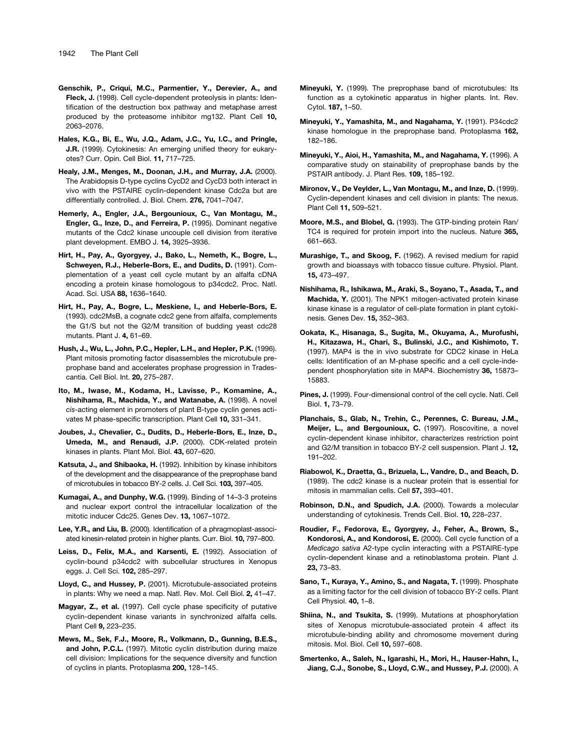- **Genschik, P., Criqui, M.C., Parmentier, Y., Derevier, A., and Fleck, J.** (1998). Cell cycle-dependent proteolysis in plants: Identification of the destruction box pathway and metaphase arrest produced by the proteasome inhibitor mg132. Plant Cell **10,** 2063–2076.
- **Hales, K.G., Bi, E., Wu, J.Q., Adam, J.C., Yu, I.C., and Pringle, J.R.** (1999). Cytokinesis: An emerging unified theory for eukaryotes? Curr. Opin. Cell Biol. **11,** 717–725.
- **Healy, J.M., Menges, M., Doonan, J.H., and Murray, J.A.** (2000). The Arabidopsis D-type cyclins CycD2 and CycD3 both interact in vivo with the PSTAIRE cyclin-dependent kinase Cdc2a but are differentially controlled. J. Biol. Chem. **276,** 7041–7047.
- **Hemerly, A., Engler, J.A., Bergounioux, C., Van Montagu, M., Engler, G., Inze, D., and Ferreira, P.** (1995). Dominant negative mutants of the Cdc2 kinase uncouple cell division from iterative plant development. EMBO J. **14,** 3925–3936.
- **Hirt, H., Pay, A., Gyorgyey, J., Bako, L., Nemeth, K., Bogre, L., Schweyen, R.J., Heberle-Bors, E., and Dudits, D.** (1991). Complementation of a yeast cell cycle mutant by an alfalfa cDNA encoding a protein kinase homologous to p34cdc2. Proc. Natl. Acad. Sci. USA **88,** 1636–1640.
- **Hirt, H., Pay, A., Bogre, L., Meskiene, I., and Heberle-Bors, E.** (1993). cdc2MsB, a cognate cdc2 gene from alfalfa, complements the G1/S but not the G2/M transition of budding yeast cdc28 mutants. Plant J. **4,** 61–69.
- **Hush, J., Wu, L., John, P.C., Hepler, L.H., and Hepler, P.K.** (1996). Plant mitosis promoting factor disassembles the microtubule preprophase band and accelerates prophase progression in Tradescantia. Cell Biol. Int. **20,** 275–287.
- **Ito, M., Iwase, M., Kodama, H., Lavisse, P., Komamine, A., Nishihama, R., Machida, Y., and Watanabe, A.** (1998). A novel *cis*-acting element in promoters of plant B-type cyclin genes activates M phase-specific transcription. Plant Cell **10,** 331–341.
- **Joubes, J., Chevalier, C., Dudits, D., Heberle-Bors, E., Inze, D., Umeda, M., and Renaudi, J.P.** (2000). CDK-related protein kinases in plants. Plant Mol. Biol. **43,** 607–620.
- **Katsuta, J., and Shibaoka, H.** (1992). Inhibition by kinase inhibitors of the development and the disappearance of the preprophase band of microtubules in tobacco BY-2 cells. J. Cell Sci. **103,** 397–405.
- **Kumagai, A., and Dunphy, W.G.** (1999). Binding of 14–3-3 proteins and nuclear export control the intracellular localization of the mitotic inducer Cdc25. Genes Dev. **13,** 1067–1072.
- **Lee, Y.R., and Liu, B.** (2000). Identification of a phragmoplast-associated kinesin-related protein in higher plants. Curr. Biol. **10,** 797–800.
- **Leiss, D., Felix, M.A., and Karsenti, E.** (1992). Association of cyclin-bound p34cdc2 with subcellular structures in Xenopus eggs. J. Cell Sci. **102,** 285–297.
- **Lloyd, C., and Hussey, P.** (2001). Microtubule-associated proteins in plants: Why we need a map. Natl. Rev. Mol. Cell Biol. **2,** 41–47.
- **Magyar, Z., et al.** (1997). Cell cycle phase specificity of putative cyclin-dependent kinase variants in synchronized alfalfa cells. Plant Cell **9,** 223–235.
- **Mews, M., Sek, F.J., Moore, R., Volkmann, D., Gunning, B.E.S., and John, P.C.L.** (1997). Mitotic cyclin distribution during maize cell division: Implications for the sequence diversity and function of cyclins in plants. Protoplasma **200,** 128–145.
- **Mineyuki, Y.** (1999). The preprophase band of microtubules: Its function as a cytokinetic apparatus in higher plants. Int. Rev. Cytol. **187,** 1–50.
- **Mineyuki, Y., Yamashita, M., and Nagahama, Y.** (1991). P34cdc2 kinase homologue in the preprophase band. Protoplasma **162,** 182–186.
- **Mineyuki, Y., Aioi, H., Yamashita, M., and Nagahama, Y.** (1996). A comparative study on stainability of preprophase bands by the PSTAIR antibody. J. Plant Res. **109,** 185–192.
- **Mironov, V., De Veylder, L., Van Montagu, M., and Inze, D.** (1999). Cyclin-dependent kinases and cell division in plants: The nexus. Plant Cell **11,** 509–521.
- **Moore, M.S., and Blobel, G.** (1993). The GTP-binding protein Ran/ TC4 is required for protein import into the nucleus. Nature **365,** 661–663.
- **Murashige, T., and Skoog, F.** (1962). A revised medium for rapid growth and bioassays with tobacco tissue culture. Physiol. Plant. **15,** 473–497.
- **Nishihama, R., Ishikawa, M., Araki, S., Soyano, T., Asada, T., and Machida, Y.** (2001). The NPK1 mitogen-activated protein kinase kinase kinase is a regulator of cell-plate formation in plant cytokinesis. Genes Dev. **15,** 352–363.
- **Ookata, K., Hisanaga, S., Sugita, M., Okuyama, A., Murofushi, H., Kitazawa, H., Chari, S., Bulinski, J.C., and Kishimoto, T.** (1997). MAP4 is the in vivo substrate for CDC2 kinase in HeLa cells: Identification of an M-phase specific and a cell cycle-independent phosphorylation site in MAP4. Biochemistry **36,** 15873– 15883.
- Pines, J. (1999). Four-dimensional control of the cell cycle. Natl. Cell Biol. **1,** 73–79.
- **Planchais, S., Glab, N., Trehin, C., Perennes, C. Bureau, J.M., Meijer, L., and Bergounioux, C.** (1997). Roscovitine, a novel cyclin-dependent kinase inhibitor, characterizes restriction point and G2/M transition in tobacco BY-2 cell suspension. Plant J. **12,** 191–202.
- **Riabowol, K., Draetta, G., Brizuela, L., Vandre, D., and Beach, D.** (1989). The cdc2 kinase is a nuclear protein that is essential for mitosis in mammalian cells. Cell **57,** 393–401.
- **Robinson, D.N., and Spudich, J.A.** (2000). Towards a molecular understanding of cytokinesis. Trends Cell. Biol. **10,** 228–237.
- **Roudier, F., Fedorova, E., Gyorgyey, J., Feher, A., Brown, S., Kondorosi, A., and Kondorosi, E.** (2000). Cell cycle function of a *Medicago sativa* A2-type cyclin interacting with a PSTAIRE-type cyclin-dependent kinase and a retinoblastoma protein. Plant J. **23,** 73–83.
- **Sano, T., Kuraya, Y., Amino, S., and Nagata, T.** (1999). Phosphate as a limiting factor for the cell division of tobacco BY-2 cells. Plant Cell Physiol. **40,** 1–8.
- **Shiina, N., and Tsukita, S.** (1999). Mutations at phosphorylation sites of Xenopus microtubule-associated protein 4 affect its microtubule-binding ability and chromosome movement during mitosis. Mol. Biol. Cell **10,** 597–608.
- **Smertenko, A., Saleh, N., Igarashi, H., Mori, H., Hauser-Hahn, I., Jiang, C.J., Sonobe, S., Lloyd, C.W., and Hussey, P.J.** (2000). A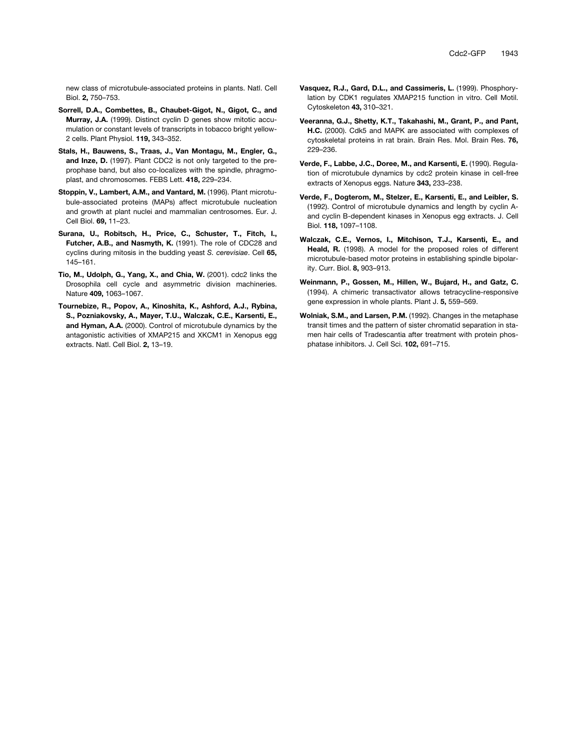new class of microtubule-associated proteins in plants. Natl. Cell Biol. **2,** 750–753.

- **Sorrell, D.A., Combettes, B., Chaubet-Gigot, N., Gigot, C., and Murray, J.A.** (1999). Distinct cyclin D genes show mitotic accumulation or constant levels of transcripts in tobacco bright yellow-2 cells. Plant Physiol. **119,** 343–352.
- **Stals, H., Bauwens, S., Traas, J., Van Montagu, M., Engler, G., and Inze, D.** (1997). Plant CDC2 is not only targeted to the preprophase band, but also co-localizes with the spindle, phragmoplast, and chromosomes. FEBS Lett. **418,** 229–234.
- **Stoppin, V., Lambert, A.M., and Vantard, M.** (1996). Plant microtubule-associated proteins (MAPs) affect microtubule nucleation and growth at plant nuclei and mammalian centrosomes. Eur. J. Cell Biol. **69,** 11–23.
- **Surana, U., Robitsch, H., Price, C., Schuster, T., Fitch, I., Futcher, A.B., and Nasmyth, K.** (1991). The role of CDC28 and cyclins during mitosis in the budding yeast *S. cerevisiae*. Cell **65,** 145–161.
- **Tio, M., Udolph, G., Yang, X., and Chia, W.** (2001). cdc2 links the Drosophila cell cycle and asymmetric division machineries. Nature **409,** 1063–1067.
- **Tournebize, R., Popov, A., Kinoshita, K., Ashford, A.J., Rybina, S., Pozniakovsky, A., Mayer, T.U., Walczak, C.E., Karsenti, E., and Hyman, A.A.** (2000). Control of microtubule dynamics by the antagonistic activities of XMAP215 and XKCM1 in Xenopus egg extracts. Natl. Cell Biol. **2,** 13–19.
- **Vasquez, R.J., Gard, D.L., and Cassimeris, L.** (1999). Phosphorylation by CDK1 regulates XMAP215 function in vitro. Cell Motil. Cytoskeleton **43,** 310–321.
- **Veeranna, G.J., Shetty, K.T., Takahashi, M., Grant, P., and Pant, H.C.** (2000). Cdk5 and MAPK are associated with complexes of cytoskeletal proteins in rat brain. Brain Res. Mol. Brain Res. **76,** 229–236.
- **Verde, F., Labbe, J.C., Doree, M., and Karsenti, E.** (1990). Regulation of microtubule dynamics by cdc2 protein kinase in cell-free extracts of Xenopus eggs. Nature **343,** 233–238.
- **Verde, F., Dogterom, M., Stelzer, E., Karsenti, E., and Leibler, S.** (1992). Control of microtubule dynamics and length by cyclin Aand cyclin B-dependent kinases in Xenopus egg extracts. J. Cell Biol. **118,** 1097–1108.
- **Walczak, C.E., Vernos, I., Mitchison, T.J., Karsenti, E., and Heald, R.** (1998). A model for the proposed roles of different microtubule-based motor proteins in establishing spindle bipolarity. Curr. Biol. **8,** 903–913.
- **Weinmann, P., Gossen, M., Hillen, W., Bujard, H., and Gatz, C.** (1994). A chimeric transactivator allows tetracycline-responsive gene expression in whole plants. Plant J. **5,** 559–569.
- **Wolniak, S.M., and Larsen, P.M.** (1992). Changes in the metaphase transit times and the pattern of sister chromatid separation in stamen hair cells of Tradescantia after treatment with protein phosphatase inhibitors. J. Cell Sci. **102,** 691–715.